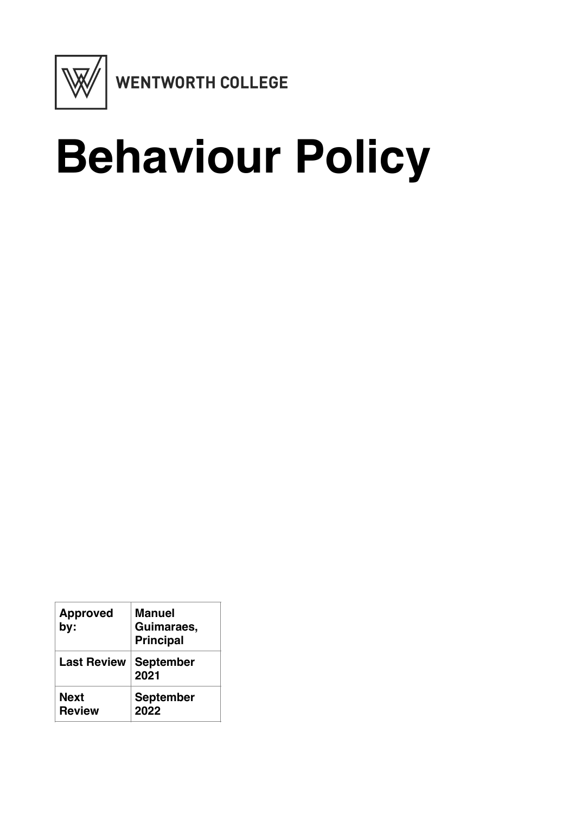

# **Behaviour Policy**

| <b>Approved</b><br>by: | <b>Manuel</b><br>Guimaraes,<br><b>Principal</b> |
|------------------------|-------------------------------------------------|
| <b>Last Review</b>     | <b>September</b><br>2021                        |
| Next<br><b>Review</b>  | <b>September</b><br>2022                        |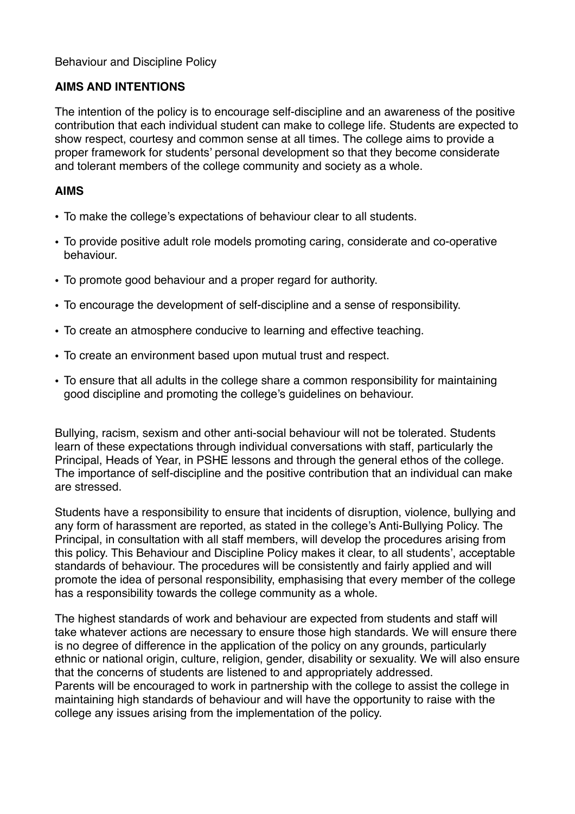# Behaviour and Discipline Policy

# **AIMS AND INTENTIONS**

The intention of the policy is to encourage self-discipline and an awareness of the positive contribution that each individual student can make to college life. Students are expected to show respect, courtesy and common sense at all times. The college aims to provide a proper framework for students' personal development so that they become considerate and tolerant members of the college community and society as a whole.

# **AIMS**

- To make the college's expectations of behaviour clear to all students.
- To provide positive adult role models promoting caring, considerate and co-operative behaviour.
- To promote good behaviour and a proper regard for authority.
- To encourage the development of self-discipline and a sense of responsibility.
- To create an atmosphere conducive to learning and effective teaching.
- To create an environment based upon mutual trust and respect.
- To ensure that all adults in the college share a common responsibility for maintaining good discipline and promoting the college's guidelines on behaviour.

Bullying, racism, sexism and other anti-social behaviour will not be tolerated. Students learn of these expectations through individual conversations with staff, particularly the Principal, Heads of Year, in PSHE lessons and through the general ethos of the college. The importance of self-discipline and the positive contribution that an individual can make are stressed.

Students have a responsibility to ensure that incidents of disruption, violence, bullying and any form of harassment are reported, as stated in the college's Anti-Bullying Policy. The Principal, in consultation with all staff members, will develop the procedures arising from this policy. This Behaviour and Discipline Policy makes it clear, to all students', acceptable standards of behaviour. The procedures will be consistently and fairly applied and will promote the idea of personal responsibility, emphasising that every member of the college has a responsibility towards the college community as a whole.

The highest standards of work and behaviour are expected from students and staff will take whatever actions are necessary to ensure those high standards. We will ensure there is no degree of difference in the application of the policy on any grounds, particularly ethnic or national origin, culture, religion, gender, disability or sexuality. We will also ensure that the concerns of students are listened to and appropriately addressed. Parents will be encouraged to work in partnership with the college to assist the college in maintaining high standards of behaviour and will have the opportunity to raise with the college any issues arising from the implementation of the policy.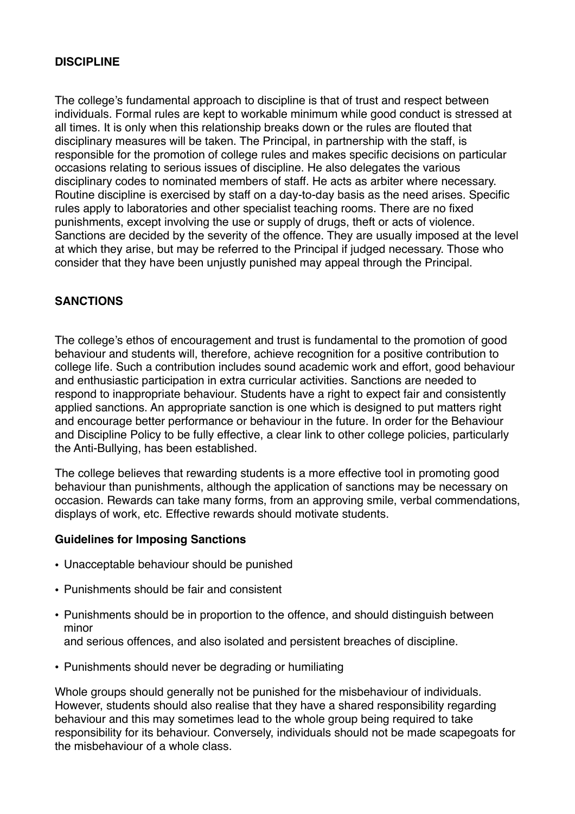# **DISCIPLINE**

The college's fundamental approach to discipline is that of trust and respect between individuals. Formal rules are kept to workable minimum while good conduct is stressed at all times. It is only when this relationship breaks down or the rules are flouted that disciplinary measures will be taken. The Principal, in partnership with the staff, is responsible for the promotion of college rules and makes specific decisions on particular occasions relating to serious issues of discipline. He also delegates the various disciplinary codes to nominated members of staff. He acts as arbiter where necessary. Routine discipline is exercised by staff on a day-to-day basis as the need arises. Specific rules apply to laboratories and other specialist teaching rooms. There are no fixed punishments, except involving the use or supply of drugs, theft or acts of violence. Sanctions are decided by the severity of the offence. They are usually imposed at the level at which they arise, but may be referred to the Principal if judged necessary. Those who consider that they have been unjustly punished may appeal through the Principal.

# **SANCTIONS**

The college's ethos of encouragement and trust is fundamental to the promotion of good behaviour and students will, therefore, achieve recognition for a positive contribution to college life. Such a contribution includes sound academic work and effort, good behaviour and enthusiastic participation in extra curricular activities. Sanctions are needed to respond to inappropriate behaviour. Students have a right to expect fair and consistently applied sanctions. An appropriate sanction is one which is designed to put matters right and encourage better performance or behaviour in the future. In order for the Behaviour and Discipline Policy to be fully effective, a clear link to other college policies, particularly the Anti-Bullying, has been established.

The college believes that rewarding students is a more effective tool in promoting good behaviour than punishments, although the application of sanctions may be necessary on occasion. Rewards can take many forms, from an approving smile, verbal commendations, displays of work, etc. Effective rewards should motivate students.

#### **Guidelines for Imposing Sanctions**

- Unacceptable behaviour should be punished
- Punishments should be fair and consistent
- Punishments should be in proportion to the offence, and should distinguish between minor and serious offences, and also isolated and persistent breaches of discipline.
- Punishments should never be degrading or humiliating

Whole groups should generally not be punished for the misbehaviour of individuals. However, students should also realise that they have a shared responsibility regarding behaviour and this may sometimes lead to the whole group being required to take responsibility for its behaviour. Conversely, individuals should not be made scapegoats for the misbehaviour of a whole class.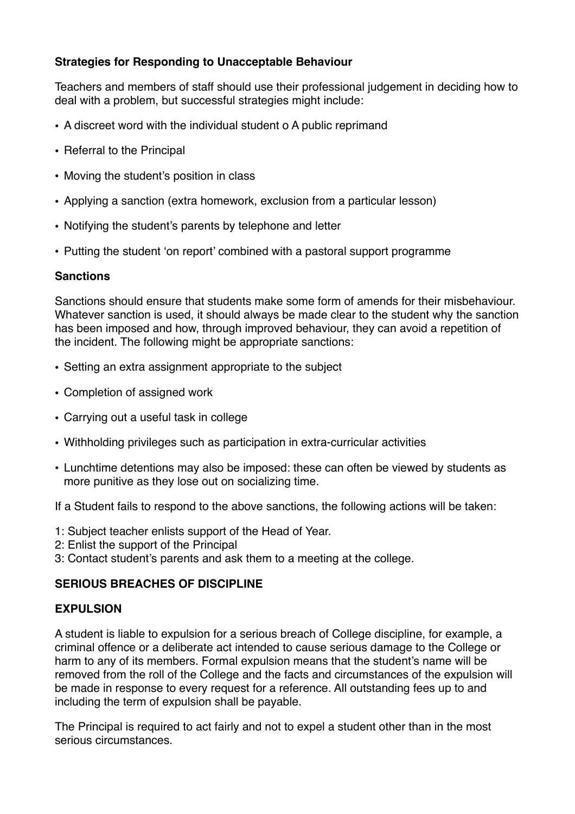# **Strategies for Responding to Unacceptable Behaviour**

Teachers and members of staff should use their professional judgement in deciding how to deal with a problem, but successful strategies might include:

- A discreet word with the individual student o A public reprimand
- Referral to the Principal
- Moving the student's position in class
- Applying a sanction (extra homework, exclusion from a particular lesson)
- Notifying the student's parents by telephone and letter
- Putting the student 'on report' combined with a pastoral support programme

#### **Sanctions**

Sanctions should ensure that students make some form of amends for their misbehaviour. Whatever sanction is used, it should always be made clear to the student why the sanction has been imposed and how, through improved behaviour, they can avoid a repetition of the incident. The following might be appropriate sanctions:

- Setting an extra assignment appropriate to the subject
- Completion of assigned work
- Carrying out a useful task in college
- Withholding privileges such as participation in extra-curricular activities
- Lunchtime detentions may also be imposed: these can often be viewed by students as more punitive as they lose out on socializing time.

If a Student fails to respond to the above sanctions, the following actions will be taken:

- 1: Subject teacher enlists support of the Head of Year.
- 2: Enlist the support of the Principal
- 3: Contact student's parents and ask them to a meeting at the college.

# **SERIOUS BREACHES OF DISCIPLINE**

#### **EXPULSION**

A student is liable to expulsion for a serious breach of College discipline, for example, a criminal offence or a deliberate act intended to cause serious damage to the College or harm to any of its members. Formal expulsion means that the student's name will be removed from the roll of the College and the facts and circumstances of the expulsion will be made in response to every request for a reference. All outstanding fees up to and including the term of expulsion shall be payable.

The Principal is required to act fairly and not to expel a student other than in the most serious circumstances.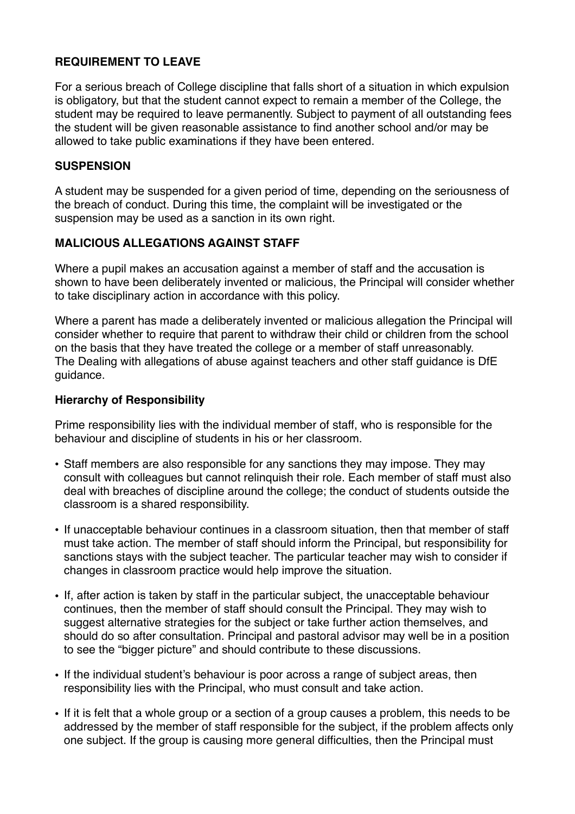# **REQUIREMENT TO LEAVE**

For a serious breach of College discipline that falls short of a situation in which expulsion is obligatory, but that the student cannot expect to remain a member of the College, the student may be required to leave permanently. Subject to payment of all outstanding fees the student will be given reasonable assistance to find another school and/or may be allowed to take public examinations if they have been entered.

# **SUSPENSION**

A student may be suspended for a given period of time, depending on the seriousness of the breach of conduct. During this time, the complaint will be investigated or the suspension may be used as a sanction in its own right.

# **MALICIOUS ALLEGATIONS AGAINST STAFF**

Where a pupil makes an accusation against a member of staff and the accusation is shown to have been deliberately invented or malicious, the Principal will consider whether to take disciplinary action in accordance with this policy.

Where a parent has made a deliberately invented or malicious allegation the Principal will consider whether to require that parent to withdraw their child or children from the school on the basis that they have treated the college or a member of staff unreasonably. The Dealing with allegations of abuse against teachers and other staff guidance is DfE guidance.

# **Hierarchy of Responsibility**

Prime responsibility lies with the individual member of staff, who is responsible for the behaviour and discipline of students in his or her classroom.

- Staff members are also responsible for any sanctions they may impose. They may consult with colleagues but cannot relinquish their role. Each member of staff must also deal with breaches of discipline around the college; the conduct of students outside the classroom is a shared responsibility.
- If unacceptable behaviour continues in a classroom situation, then that member of staff must take action. The member of staff should inform the Principal, but responsibility for sanctions stays with the subject teacher. The particular teacher may wish to consider if changes in classroom practice would help improve the situation.
- If, after action is taken by staff in the particular subject, the unacceptable behaviour continues, then the member of staff should consult the Principal. They may wish to suggest alternative strategies for the subject or take further action themselves, and should do so after consultation. Principal and pastoral advisor may well be in a position to see the "bigger picture" and should contribute to these discussions.
- If the individual student's behaviour is poor across a range of subject areas, then responsibility lies with the Principal, who must consult and take action.
- If it is felt that a whole group or a section of a group causes a problem, this needs to be addressed by the member of staff responsible for the subject, if the problem affects only one subject. If the group is causing more general difficulties, then the Principal must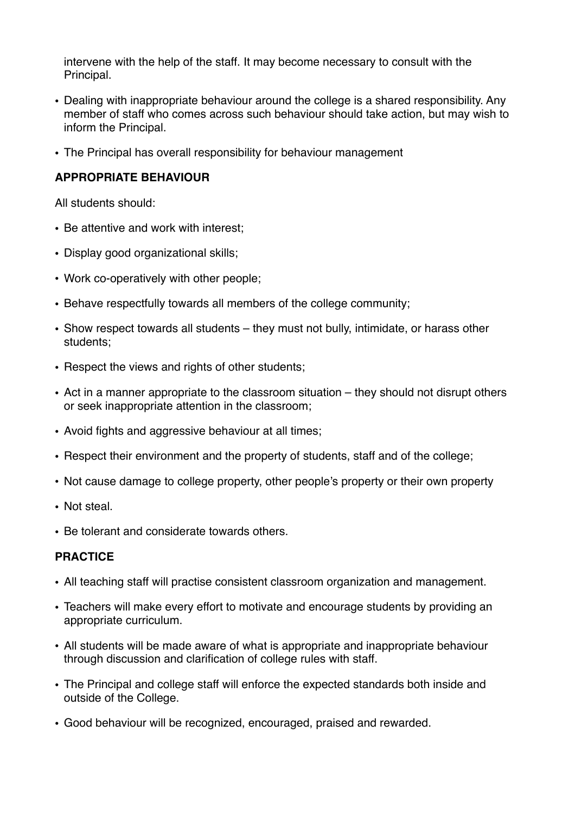intervene with the help of the staff. It may become necessary to consult with the Principal.

- Dealing with inappropriate behaviour around the college is a shared responsibility. Any member of staff who comes across such behaviour should take action, but may wish to inform the Principal.
- The Principal has overall responsibility for behaviour management

# **APPROPRIATE BEHAVIOUR**

All students should:

- Be attentive and work with interest;
- Display good organizational skills;
- Work co-operatively with other people;
- Behave respectfully towards all members of the college community;
- Show respect towards all students they must not bully, intimidate, or harass other students;
- Respect the views and rights of other students;
- Act in a manner appropriate to the classroom situation they should not disrupt others or seek inappropriate attention in the classroom;
- Avoid fights and aggressive behaviour at all times;
- Respect their environment and the property of students, staff and of the college;
- Not cause damage to college property, other people's property or their own property
- Not steal.
- Be tolerant and considerate towards others.

#### **PRACTICE**

- All teaching staff will practise consistent classroom organization and management.
- Teachers will make every effort to motivate and encourage students by providing an appropriate curriculum.
- All students will be made aware of what is appropriate and inappropriate behaviour through discussion and clarification of college rules with staff.
- The Principal and college staff will enforce the expected standards both inside and outside of the College.
- Good behaviour will be recognized, encouraged, praised and rewarded.